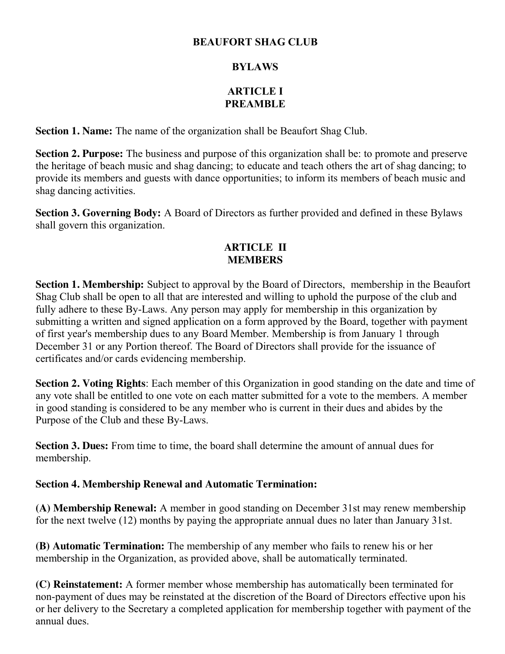## **BEAUFORT SHAG CLUB**

## **BYLAWS**

# **ARTICLE I PREAMBLE**

**Section 1. Name:** The name of the organization shall be Beaufort Shag Club.

**Section 2. Purpose:** The business and purpose of this organization shall be: to promote and preserve the heritage of beach music and shag dancing; to educate and teach others the art of shag dancing; to provide its members and guests with dance opportunities; to inform its members of beach music and shag dancing activities.

**Section 3. Governing Body:** A Board of Directors as further provided and defined in these Bylaws shall govern this organization.

## **ARTICLE II MEMBERS**

**Section 1. Membership:** Subject to approval by the Board of Directors, membership in the Beaufort Shag Club shall be open to all that are interested and willing to uphold the purpose of the club and fully adhere to these By-Laws. Any person may apply for membership in this organization by submitting a written and signed application on a form approved by the Board, together with payment of first year's membership dues to any Board Member. Membership is from January 1 through December 31 or any Portion thereof. The Board of Directors shall provide for the issuance of certificates and/or cards evidencing membership.

**Section 2. Voting Rights**: Each member of this Organization in good standing on the date and time of any vote shall be entitled to one vote on each matter submitted for a vote to the members. A member in good standing is considered to be any member who is current in their dues and abides by the Purpose of the Club and these By-Laws.

**Section 3. Dues:** From time to time, the board shall determine the amount of annual dues for membership.

### **Section 4. Membership Renewal and Automatic Termination:**

**(A) Membership Renewal:** A member in good standing on December 31st may renew membership for the next twelve (12) months by paying the appropriate annual dues no later than January 31st.

**(B) Automatic Termination:** The membership of any member who fails to renew his or her membership in the Organization, as provided above, shall be automatically terminated.

**(C) Reinstatement:** A former member whose membership has automatically been terminated for non-payment of dues may be reinstated at the discretion of the Board of Directors effective upon his or her delivery to the Secretary a completed application for membership together with payment of the annual dues.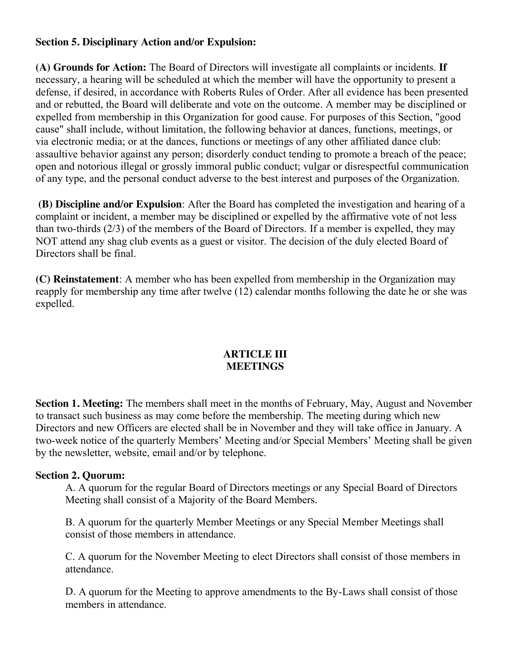### **Section 5. Disciplinary Action and/or Expulsion:**

**(A) Grounds for Action:** The Board of Directors will investigate all complaints or incidents. **If**  necessary, a hearing will be scheduled at which the member will have the opportunity to present a defense, if desired, in accordance with Roberts Rules of Order. After all evidence has been presented and or rebutted, the Board will deliberate and vote on the outcome. A member may be disciplined or expelled from membership in this Organization for good cause. For purposes of this Section, "good cause" shall include, without limitation, the following behavior at dances, functions, meetings, or via electronic media; or at the dances, functions or meetings of any other affiliated dance club: assaultive behavior against any person; disorderly conduct tending to promote a breach of the peace; open and notorious illegal or grossly immoral public conduct; vulgar or disrespectful communication of any type, and the personal conduct adverse to the best interest and purposes of the Organization.

**(B) Discipline and/or Expulsion**: After the Board has completed the investigation and hearing of a complaint or incident, a member may be disciplined or expelled by the affirmative vote of not less than two-thirds (2/3) of the members of the Board of Directors. If a member is expelled, they may NOT attend any shag club events as a guest or visitor. The decision of the duly elected Board of Directors shall be final.

**(C) Reinstatement**: A member who has been expelled from membership in the Organization may reapply for membership any time after twelve (12) calendar months following the date he or she was expelled.

#### **ARTICLE III MEETINGS**

**Section 1. Meeting:** The members shall meet in the months of February, May, August and November to transact such business as may come before the membership. The meeting during which new Directors and new Officers are elected shall be in November and they will take office in January. A two-week notice of the quarterly Members' Meeting and/or Special Members' Meeting shall be given by the newsletter, website, email and/or by telephone.

### **Section 2. Quorum:**

A. A quorum for the regular Board of Directors meetings or any Special Board of Directors Meeting shall consist of a Majority of the Board Members.

B. A quorum for the quarterly Member Meetings or any Special Member Meetings shall consist of those members in attendance.

C. A quorum for the November Meeting to elect Directors shall consist of those members in attendance.

D. A quorum for the Meeting to approve amendments to the By-Laws shall consist of those members in attendance.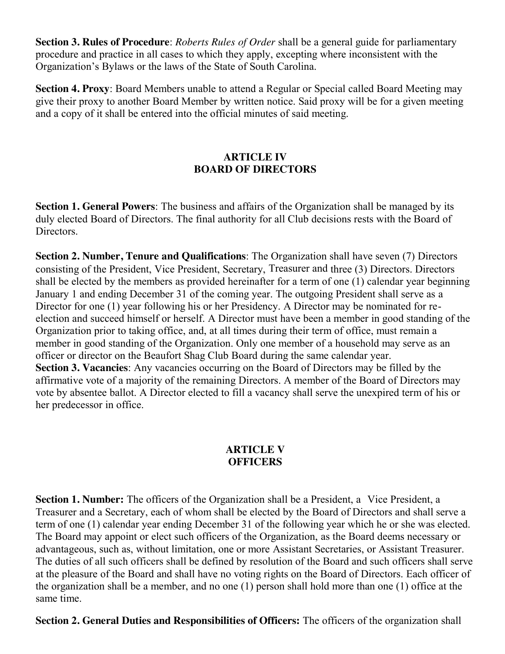**Section 3. Rules of Procedure**: *Roberts Rules of Order* shall be a general guide for parliamentary procedure and practice in all cases to which they apply, excepting where inconsistent with the Organization's Bylaws or the laws of the State of South Carolina.

**Section 4. Proxy**: Board Members unable to attend a Regular or Special called Board Meeting may give their proxy to another Board Member by written notice. Said proxy will be for a given meeting and a copy of it shall be entered into the official minutes of said meeting.

## **ARTICLE IV BOARD OF DIRECTORS**

**Section 1. General Powers**: The business and affairs of the Organization shall be managed by its duly elected Board of Directors. The final authority for all Club decisions rests with the Board of Directors.

**Section 2. Number, Tenure and Qualifications**: The Organization shall have seven (7) Directors consisting of the President, Vice President, Secretary, Treasurer and three (3) Directors. Directors shall be elected by the members as provided hereinafter for a term of one (1) calendar year beginning January 1 and ending December 31 of the coming year. The outgoing President shall serve as a Director for one (1) year following his or her Presidency. A Director may be nominated for reelection and succeed himself or herself. A Director must have been a member in good standing of the Organization prior to taking office, and, at all times during their term of office, must remain a member in good standing of the Organization. Only one member of a household may serve as an officer or director on the Beaufort Shag Club Board during the same calendar year. **Section 3. Vacancies**: Any vacancies occurring on the Board of Directors may be filled by the affirmative vote of a majority of the remaining Directors. A member of the Board of Directors may vote by absentee ballot. A Director elected to fill a vacancy shall serve the unexpired term of his or her predecessor in office.

#### **ARTICLE V OFFICERS**

**Section 1. Number:** The officers of the Organization shall be a President, a Vice President, a Treasurer and a Secretary, each of whom shall be elected by the Board of Directors and shall serve a term of one (1) calendar year ending December 31 of the following year which he or she was elected. The Board may appoint or elect such officers of the Organization, as the Board deems necessary or advantageous, such as, without limitation, one or more Assistant Secretaries, or Assistant Treasurer. The duties of all such officers shall be defined by resolution of the Board and such officers shall serve at the pleasure of the Board and shall have no voting rights on the Board of Directors. Each officer of the organization shall be a member, and no one (1) person shall hold more than one (1) office at the same time.

**Section 2. General Duties and Responsibilities of Officers:** The officers of the organization shall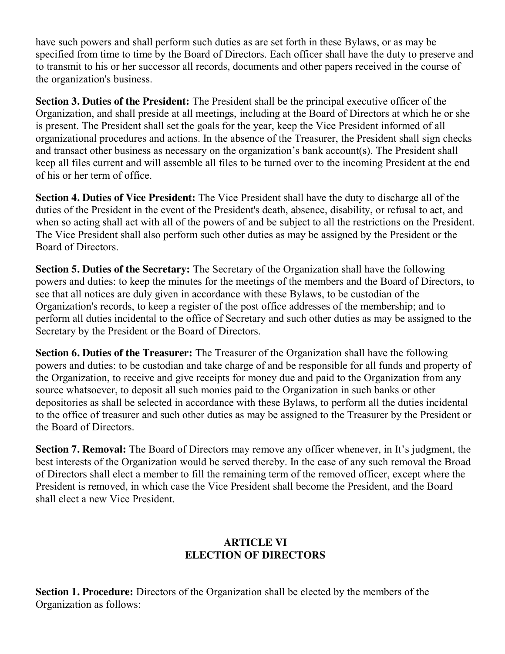have such powers and shall perform such duties as are set forth in these Bylaws, or as may be specified from time to time by the Board of Directors. Each officer shall have the duty to preserve and to transmit to his or her successor all records, documents and other papers received in the course of the organization's business.

**Section 3. Duties of the President:** The President shall be the principal executive officer of the Organization, and shall preside at all meetings, including at the Board of Directors at which he or she is present. The President shall set the goals for the year, keep the Vice President informed of all organizational procedures and actions. In the absence of the Treasurer, the President shall sign checks and transact other business as necessary on the organization's bank account(s). The President shall keep all files current and will assemble all files to be turned over to the incoming President at the end of his or her term of office.

**Section 4. Duties of Vice President:** The Vice President shall have the duty to discharge all of the duties of the President in the event of the President's death, absence, disability, or refusal to act, and when so acting shall act with all of the powers of and be subject to all the restrictions on the President. The Vice President shall also perform such other duties as may be assigned by the President or the Board of Directors.

**Section 5. Duties of the Secretary:** The Secretary of the Organization shall have the following powers and duties: to keep the minutes for the meetings of the members and the Board of Directors, to see that all notices are duly given in accordance with these Bylaws, to be custodian of the Organization's records, to keep a register of the post office addresses of the membership; and to perform all duties incidental to the office of Secretary and such other duties as may be assigned to the Secretary by the President or the Board of Directors.

**Section 6. Duties of the Treasurer:** The Treasurer of the Organization shall have the following powers and duties: to be custodian and take charge of and be responsible for all funds and property of the Organization, to receive and give receipts for money due and paid to the Organization from any source whatsoever, to deposit all such monies paid to the Organization in such banks or other depositories as shall be selected in accordance with these Bylaws, to perform all the duties incidental to the office of treasurer and such other duties as may be assigned to the Treasurer by the President or the Board of Directors.

**Section 7. Removal:** The Board of Directors may remove any officer whenever, in It's judgment, the best interests of the Organization would be served thereby. In the case of any such removal the Broad of Directors shall elect a member to fill the remaining term of the removed officer, except where the President is removed, in which case the Vice President shall become the President, and the Board shall elect a new Vice President.

## **ARTICLE VI ELECTION OF DIRECTORS**

**Section 1. Procedure:** Directors of the Organization shall be elected by the members of the Organization as follows: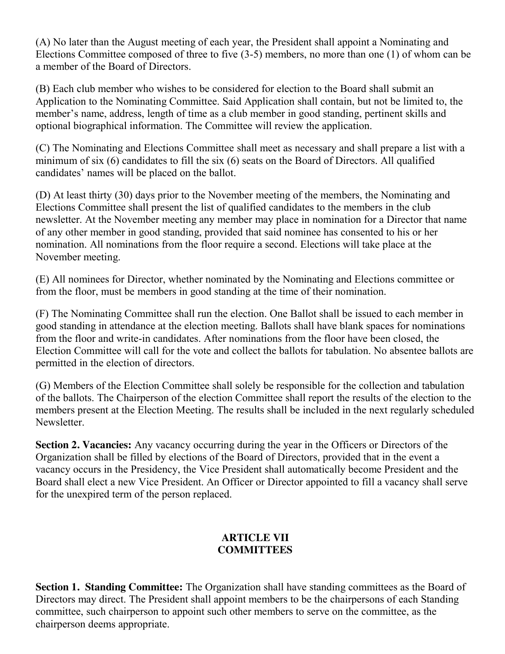(A) No later than the August meeting of each year, the President shall appoint a Nominating and Elections Committee composed of three to five (3-5) members, no more than one (1) of whom can be a member of the Board of Directors.

(B) Each club member who wishes to be considered for election to the Board shall submit an Application to the Nominating Committee. Said Application shall contain, but not be limited to, the member's name, address, length of time as a club member in good standing, pertinent skills and optional biographical information. The Committee will review the application.

(C) The Nominating and Elections Committee shall meet as necessary and shall prepare a list with a minimum of six (6) candidates to fill the six (6) seats on the Board of Directors. All qualified candidates' names will be placed on the ballot.

(D) At least thirty (30) days prior to the November meeting of the members, the Nominating and Elections Committee shall present the list of qualified candidates to the members in the club newsletter. At the November meeting any member may place in nomination for a Director that name of any other member in good standing, provided that said nominee has consented to his or her nomination. All nominations from the floor require a second. Elections will take place at the November meeting.

(E) All nominees for Director, whether nominated by the Nominating and Elections committee or from the floor, must be members in good standing at the time of their nomination.

(F) The Nominating Committee shall run the election. One Ballot shall be issued to each member in good standing in attendance at the election meeting. Ballots shall have blank spaces for nominations from the floor and write-in candidates. After nominations from the floor have been closed, the Election Committee will call for the vote and collect the ballots for tabulation. No absentee ballots are permitted in the election of directors.

(G) Members of the Election Committee shall solely be responsible for the collection and tabulation of the ballots. The Chairperson of the election Committee shall report the results of the election to the members present at the Election Meeting. The results shall be included in the next regularly scheduled Newsletter.

**Section 2. Vacancies:** Any vacancy occurring during the year in the Officers or Directors of the Organization shall be filled by elections of the Board of Directors, provided that in the event a vacancy occurs in the Presidency, the Vice President shall automatically become President and the Board shall elect a new Vice President. An Officer or Director appointed to fill a vacancy shall serve for the unexpired term of the person replaced.

## **ARTICLE VII COMMITTEES**

**Section 1. Standing Committee:** The Organization shall have standing committees as the Board of Directors may direct. The President shall appoint members to be the chairpersons of each Standing committee, such chairperson to appoint such other members to serve on the committee, as the chairperson deems appropriate.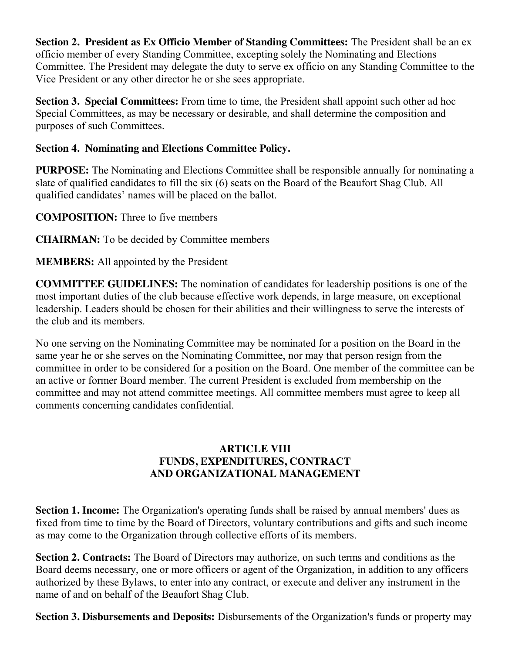**Section 2. President as Ex Officio Member of Standing Committees:** The President shall be an ex officio member of every Standing Committee, excepting solely the Nominating and Elections Committee. The President may delegate the duty to serve ex officio on any Standing Committee to the Vice President or any other director he or she sees appropriate.

**Section 3. Special Committees:** From time to time, the President shall appoint such other ad hoc Special Committees, as may be necessary or desirable, and shall determine the composition and purposes of such Committees.

# **Section 4. Nominating and Elections Committee Policy.**

**PURPOSE:** The Nominating and Elections Committee shall be responsible annually for nominating a slate of qualified candidates to fill the six (6) seats on the Board of the Beaufort Shag Club. All qualified candidates' names will be placed on the ballot.

**COMPOSITION:** Three to five members

**CHAIRMAN:** To be decided by Committee members

# **MEMBERS:** All appointed by the President

**COMMITTEE GUIDELINES:** The nomination of candidates for leadership positions is one of the most important duties of the club because effective work depends, in large measure, on exceptional leadership. Leaders should be chosen for their abilities and their willingness to serve the interests of the club and its members.

No one serving on the Nominating Committee may be nominated for a position on the Board in the same year he or she serves on the Nominating Committee, nor may that person resign from the committee in order to be considered for a position on the Board. One member of the committee can be an active or former Board member. The current President is excluded from membership on the committee and may not attend committee meetings. All committee members must agree to keep all comments concerning candidates confidential.

### **ARTICLE VIII FUNDS, EXPENDITURES, CONTRACT AND ORGANIZATIONAL MANAGEMENT**

**Section 1. Income:** The Organization's operating funds shall be raised by annual members' dues as fixed from time to time by the Board of Directors, voluntary contributions and gifts and such income as may come to the Organization through collective efforts of its members.

**Section 2. Contracts:** The Board of Directors may authorize, on such terms and conditions as the Board deems necessary, one or more officers or agent of the Organization, in addition to any officers authorized by these Bylaws, to enter into any contract, or execute and deliver any instrument in the name of and on behalf of the Beaufort Shag Club.

**Section 3. Disbursements and Deposits:** Disbursements of the Organization's funds or property may